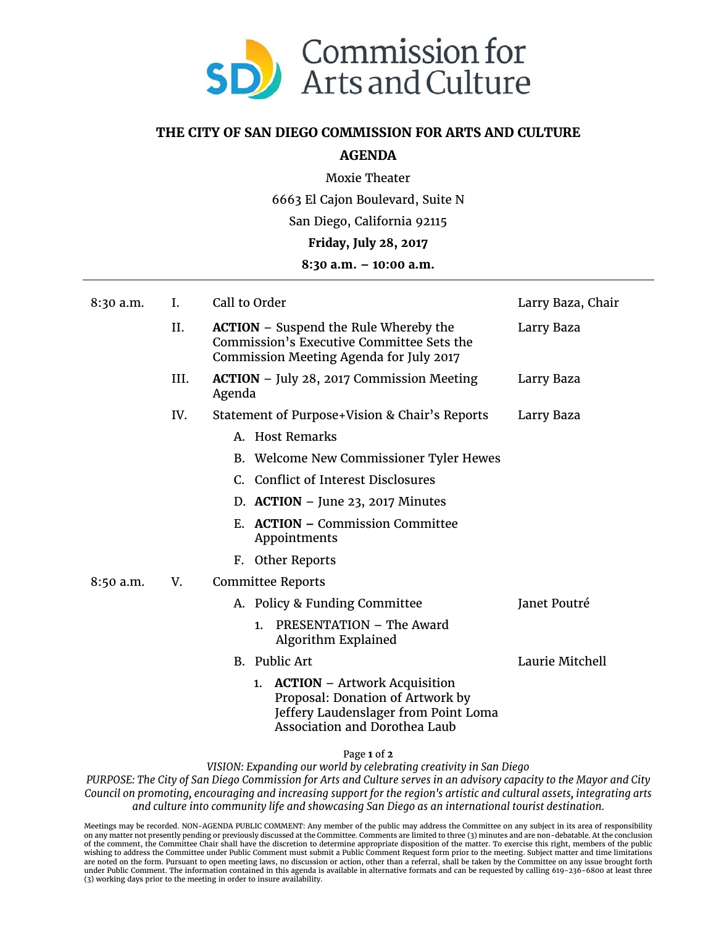

## **THE CITY OF SAN DIEGO COMMISSION FOR ARTS AND CULTURE**

## **AGENDA**

Moxie Theater 6663 El Cajon Boulevard, Suite N San Diego, California 92115 **Friday, July 28, 2017**

## **8:30 a.m. – 10:00 a.m.**

| 8:30 a.m.                                                                                         | Ι.   | Call to Order                                                                                                                                       | Larry Baza, Chair |
|---------------------------------------------------------------------------------------------------|------|-----------------------------------------------------------------------------------------------------------------------------------------------------|-------------------|
|                                                                                                   | II.  | <b>ACTION</b> – Suspend the Rule Whereby the<br>Commission's Executive Committee Sets the<br>Commission Meeting Agenda for July 2017                | Larry Baza        |
|                                                                                                   | III. | <b>ACTION</b> – July 28, 2017 Commission Meeting<br>Agenda                                                                                          | Larry Baza        |
|                                                                                                   | IV.  | Statement of Purpose+Vision & Chair's Reports                                                                                                       | Larry Baza        |
|                                                                                                   |      | A. Host Remarks                                                                                                                                     |                   |
|                                                                                                   |      | B. Welcome New Commissioner Tyler Hewes                                                                                                             |                   |
|                                                                                                   |      | C. Conflict of Interest Disclosures                                                                                                                 |                   |
|                                                                                                   |      | D. $ACTION - June 23, 2017$ Minutes                                                                                                                 |                   |
|                                                                                                   |      | E. ACTION - Commission Committee<br>Appointments                                                                                                    |                   |
|                                                                                                   |      | F. Other Reports                                                                                                                                    |                   |
| 8:50 a.m.                                                                                         | V.   | <b>Committee Reports</b>                                                                                                                            |                   |
|                                                                                                   |      | A. Policy & Funding Committee                                                                                                                       | Janet Poutré      |
|                                                                                                   |      | <b>PRESENTATION - The Award</b><br>1.<br>Algorithm Explained                                                                                        |                   |
|                                                                                                   |      | B. Public Art                                                                                                                                       | Laurie Mitchell   |
|                                                                                                   |      | 1. ACTION - Artwork Acquisition<br>Proposal: Donation of Artwork by<br>Jeffery Laudenslager from Point Loma<br><b>Association and Dorothea Laub</b> |                   |
| Page 1 of 2<br>VISION: Expanding our world by celebrating creativity in San Diego<br>$\mathbf{D}$ |      |                                                                                                                                                     |                   |

*PURPOSE: The City of San Diego Commission for Arts and Culture serves in an advisory capacity to the Mayor and City Council on promoting, encouraging and increasing support for the region's artistic and cultural assets, integrating arts and culture into community life and showcasing San Diego as an international tourist destination.*

Meetings may be recorded. NON-AGENDA PUBLIC COMMENT: Any member of the public may address the Committee on any subject in its area of responsibility<br>on any matter not presently pending or previously discussed at the Commit wishing to address the Committee under Public Comment must submit a Public Comment Request form prior to the meeting. Subject matter and time limitations<br>are noted on the form. Pursuant to open meeting laws, no discussion (3) working days prior to the meeting in order to insure availability.